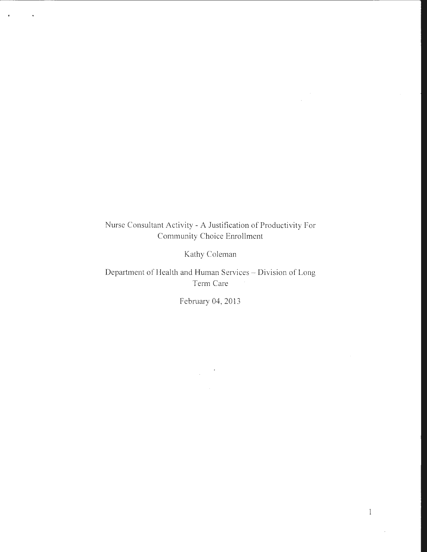## Nurse Consultant Activity - A Justification of Productivity For Community Choice Enrollment

 $\hat{\mathbf{r}}$ 

 $\sim$ 

 $\sim 100$ 

Kathy Coleman

Department of Health and Human Services - Division of Long Term Care

February 04, 2013

 $\mathcal{L}_{\rm{max}}$ 

 $\bar{u}$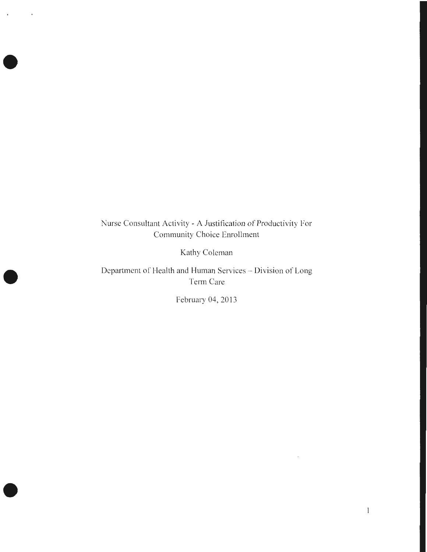Nurse Consultant Activity- A Justification of Productivity For Community Choice Enrollment

•

 $\ddot{\phantom{a}}$ 

 $\lambda$ 

•

•

Kathy Coleman

Department of Health and Human Services - Division of Long Term Care

February 04, 2013

 $\bar{z}$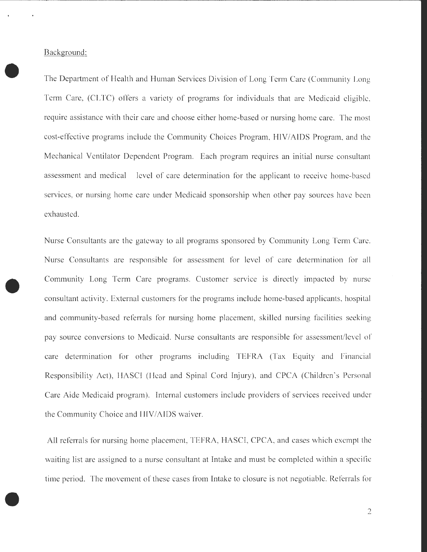Background:

•

•

•

The Department of Health and Human Services Division of Long Term Care (Community Long Term Care, (CLTC) offers a variety of programs for individuals that are Medicaid eligible, require assistance with their care and choose either home-based or nursing home care. The most cost-effective programs include the Community Choices Program, HIV/AIDS Program, and the Mechanical Ventilator Dependent Program. Each program requires an initial nurse consultant assessment and medical level of care determination for the applicant to receive home-based services, or nursing home care under Medicaid sponsorship when other pay sources have been exhausted.

Nurse Consultants are the gateway to all programs sponsored by Community Long Term Care. Nurse Consultants are responsible for assessment for level of care determination for all Community Long Term Care programs. Customer service is directly impacted by nurse consultant activity. External customers for the programs include home-based applicants, hospital and community-based referrals for nursing home placement, skilled nursing facilities seeking pay source conversions to Medicaid. Nurse consultants are responsible for assessment/level of care determination for other programs including TEFRA (Tax Equity and Financial Responsibility Act), HASCI (Head and Spinal Cord Injury), and CPCA (Children's Personal Care Aide Medicaid program). Internal customers include providers of services received under the Community Choice and HIV/AIDS waiver.

All referrals for nursing home placement, TEFRA, HASCI, CPCA, and cases which exempt the waiting list are assigned to a nurse consultant at Intake and must be completed within a specific time period. The movement of these cases from Intake to closure is not negotiable. Referrals for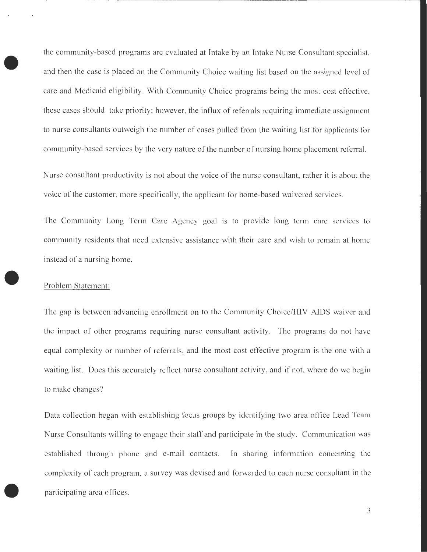the community-based programs are evaluated at Intake by an Intake Nurse Consultant specialist, and then the case is placed on the Community Choice waiting list based on the assigned level of care and Medicaid eligibility. With Community Choice programs being the most cost effective, these cases should take priority; however, the influx of referrals requiring immediate assignment to nurse consultants outweigh the number of cases pulled from the waiting list for applicants for community-based services by the very nature of the number of nursing home placement referral.

Nurse consultant productivity is not about the voice of the nurse consultant, rather it is about the voice of the customer, more specifically, the applicant for home-based waivered services.

The Community Long Term Care Agency goal is to provide long term care services to community residents that need extensive assistance with their care and wish to remain at home instead of a nursing home.

## Problem Statement:

•

•

The gap is between advancing enrollment on to the Community Choice/HIV AIDS waiver and the impact of other programs requiring nurse consultant activity. The programs do not have equal complexity or number of referrals, and the most cost effective program is the one with a waiting list. Does this accurately reflect nurse consultant activity, and if not, where do we begin to make changes?

Data collection began with establishing focus groups by identifying two area office Lead Team Nurse Consultants willing to engage their staff and participate in the study. Communication was established through phone and e-mail contacts. In sharing information concerning the complexity of each program, a survey was devised and forwarded to each nurse consultant in the participating area offices.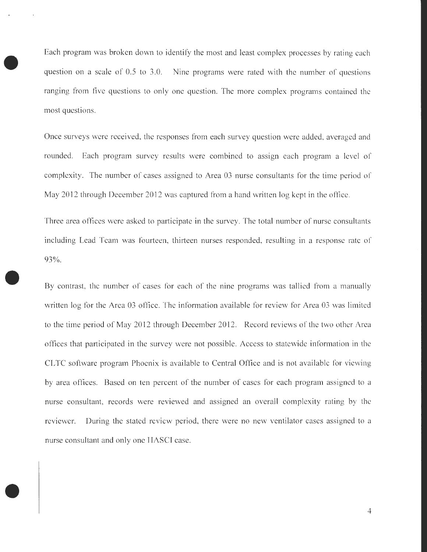Each program was broken down to identify the most and least complex processes by rating each question on a scale of 0.5 to 3.0. Nine programs were rated with the number of questions ranging from five questions to only one question. The more complex programs contained the most questions.

•

•

•

Once surveys were received, the responses from each survey question were added, averaged and rounded. Each program survey results were combined to assign each program a level of complexity. The number of cases assigned to Area 03 nurse consultants for the time period of May 2012 through December 2012 was captured from a hand written log kept in the office.

Three area offices were asked to participate in the survey. The total number of nurse consultants including Lead Team was fourteen, thirteen nurses responded, resulting in a response rate of 93% .

By contrast, the number of cases for each of the nine programs was tallied from a manually written log for the Area 03 office. The information available for review for Area 03 was limited to the time period of May 2012 through December 2012. Record reviews of the two other Area offices that participated in the survey were not possible. Access to statewide information in the CLTC software program Phoenix is available to Central Office and is not available for viewing by area offices. Based on ten percent of the number of cases for each program assigned to a nurse consultant, records were reviewed and assigned an overall complexity rating by the reviewer. During the stated review period, there were no new ventilator cases assigned to a nurse consultant and only one HASCI case.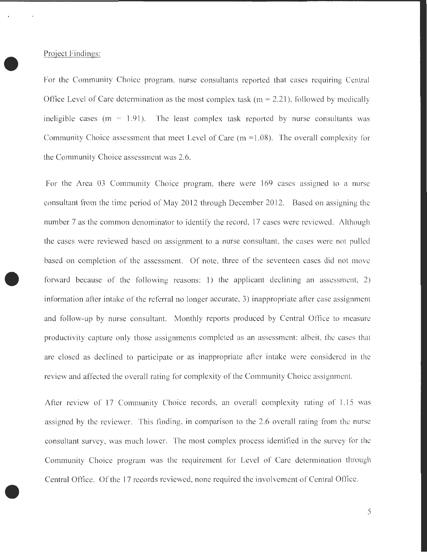•

Project Findings:<br>
For the Commun For the Community Choice program, nurse consultants reported that cases requiring Central Office Level of Care determination as the most complex task ( $m = 2.21$ ), followed by medically ineligible cases ( $m = 1.91$ ). The least complex task reported by nurse consultants was Community Choice assessment that meet Level of Care (m =1.08). The overall complexity for the Community Choice assessment was 2.6.

> For the Area 03 Community Choice program, there were 169 cases assigned to a nurse consultant from the time period of May 2012 through December 2012. Based on assigning the number 7 as the common denominator to identify the record, 17 cases were reviewed. Although the cases were reviewed based on assignment to a nurse consultant, the cases were not pulled based on completion of the assessment. Of note, three of the seventeen cases did not move forward because of the following reasons: 1) the applicant declining an assessment, 2) information after intake of the referral no longer accurate, 3) inappropriate after case assignment and follow-up by nurse consultant. Monthly reports produced by Central Office to measure productivity capture only those assignments completed as an assessment; albeit, the cases that are closed as declined to participate or as inappropriate after intake were considered in the review and affected the overall rating for complexity of the Community Choice assignment.

> After review of 17 Community Choice records, an overall complexity rating of 1.15 was assigned by the reviewer. This finding, in comparison to the 2.6 overall rating from the nurse consultant survey, was much lower. The most complex process identified in the survey for the Community Choice program was the requirement for Level of Care determination through Central Office. Of the 17 records reviewed, none required the involvement of Central Office .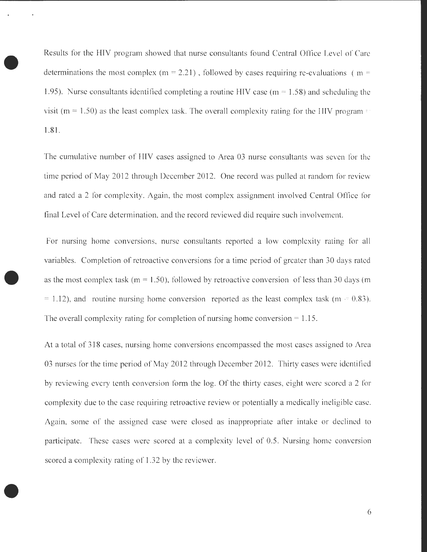Results for the HIV program showed that nurse consultants found Central Office Level of Care determinations the most complex (m = 2.21), followed by cases requiring re-evaluations (m = 1.95). Nurse consultants identified completing a routine HIV case ( $m = 1.58$ ) and scheduling the visit ( $m = 1.50$ ) as the least complex task. The overall complexity rating for the HIV program  $\epsilon$ 1.81.

The cumulative number of HIV cases assigned to Area 03 nurse consultants was seven for the time period of May 2012 through December 2012. One record was pulled at random for review and rated a 2 for complexity. Again, the most complex assignment involved Central Office for final Level of Care determination, and the record reviewed did require such involvement.

For nursing home conversions, nurse consultants reported a low complexity rating for all variables. Completion of retroactive conversions for a time period of greater than 30 days rated as the most complex task ( $m = 1.50$ ), followed by retroactive conversion of less than 30 days (m  $= 1.12$ ), and routine nursing home conversion reported as the least complex task (m  $= 0.83$ ). The overall complexity rating for completion of nursing home conversion  $= 1.15$ .

At a total of 318 cases, nursing home conversions encompassed the most cases assigned to Area 03 nurses for the time period of May 2012 through December 2012. Thirty cases were identified by reviewing every tenth conversion form the log. Of the thirty cases, eight were scored a 2 for complexity due to the case requiring retroactive review or potentially a medically ineligible case. Again, some of the assigned case were closed as inappropriate after intake or declined to participate. These cases were scored at a complexity level of 0.5. Nursing home conversion scored a complexity rating of 1.32 by the reviewer.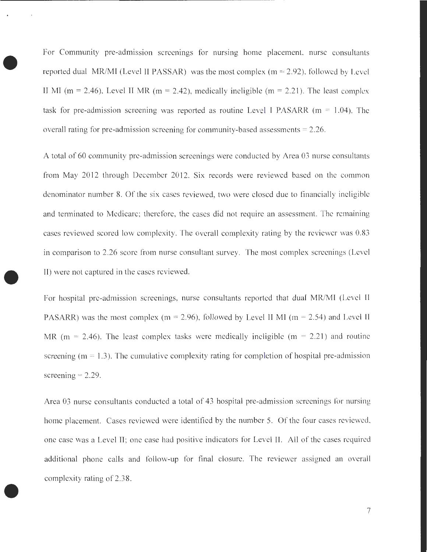For Community pre-admission screenings for nursing home placement, nurse consultants reported dual MR/MI (Level II PASSAR) was the most complex ( $m = 2.92$ ), followed by Level II MI (m = 2.46), Level II MR (m = 2.42), medically ineligible (m = 2.21). The least complex task for pre-admission screening was reported as routine Level I PASARR ( $m = 1.04$ ). The overall rating for pre-admission screening for community-based assessments  $= 2.26$ .

•

•

•

A total of 60 community pre-admission screenings were conducted by Area 03 nurse consultants from May 2012 through December 2012. Six records were reviewed based on the common denominator number 8. Of the six cases reviewed, two were closed due to financially ineligible and terminated to Medicare; therefore, the cases did not require an assessment. The remaining cases reviewed scored low complexity. The overall complexity rating by the reviewer was 0.83 in comparison to 2.26 score from nurse consultant survey. The most complex screenings (Level II) were not captured in the cases reviewed.

For hospital pre-admission screenings, nurse consultants reported that dual MR/MI (Level II PASARR) was the most complex (m = 2.96), followed by Level II MI (m = 2.54) and Level II MR ( $m = 2.46$ ). The least complex tasks were medically ineligible ( $m = 2.21$ ) and routine screening ( $m = 1.3$ ). The cumulative complexity rating for completion of hospital pre-admission screening  $= 2.29$ .

Area 03 nurse consultants conducted a total of 43 hospital pre-admission screenings for nursing home placement. Cases reviewed were identified by the number 5. Of the four cases reviewed, one case was a Level II; one case had positive indicators for Level II. All of the cases required additional phone calls and follow-up for final closure. The reviewer assigned an overall complexity rating of 2.38 .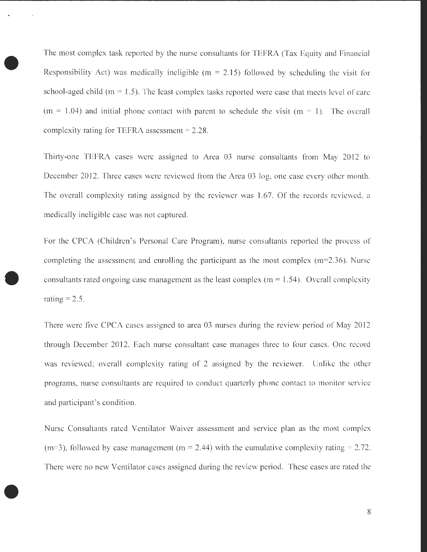The most complex task reported by the nurse consultants for TEFRA (Tax Equity and Financial Responsibility Act) was medically ineligible ( $m = 2.15$ ) followed by scheduling the visit for school-aged child ( $m = 1.5$ ). The least complex tasks reported were case that meets level of care  $(m = 1.04)$  and initial phone contact with parent to schedule the visit  $(m = 1)$ . The overall complexity rating for TEFRA assessment  $= 2.28$ .

Thirty-one TEFRA cases were assigned to Area 03 nurse consultants from May 2012 to December 2012. Three cases were reviewed from the Area 03 log, one case every other month. The overall complexity rating assigned by the reviewer was 1.67. Of the records reviewed, a medically ineligible case was not captured.

For the CPCA (Children's Personal Care Program), nurse consultants reported the process of completing the assessment and enrolling the participant as the most complex ( $m=2.36$ ). Nurse consultants rated ongoing case management as the least complex ( $m = 1.54$ ). Overall complexity rating  $= 2.5$ .

There were five CPCA cases assigned to area 03 nurses during the review period of May 2012 through December 2012. Each nurse consultant case manages three to four cases. One record was reviewed; overall complexity rating of 2 assigned by the reviewer. Unlike the other programs, nurse consultants are required to conduct quarterly phone contact to monitor service and participant's condition.

Nurse Consultants rated Ventilator Waiver assessment and service plan as the most complex (m=3), followed by case management (m = 2.44) with the cumulative complexity rating = 2.72. There were no new Ventilator cases assigned during the review period. These cases are rated the

•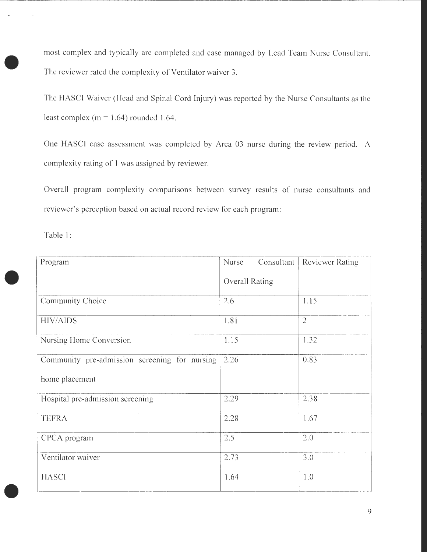most complex and typically are completed and case managed by Lead Team Nurse Consultant. The reviewer rated the complexity of Ventilator waiver 3.

The HASCI Waiver (Head and Spinal Cord Injury) was reported by the Nurse Consultants as the least complex ( $m = 1.64$ ) rounded 1.64.

One HASCI case assessment was completed by Area 03 nurse during the review period. A complexity rating of 1 was assigned by reviewer.

Overall program complexity comparisons between survey results of nurse consultants and reviewer's perception based on actual record review for each program:

Table 1:

•

•

•

| Program                                       | Nurse<br>Consultant   | <b>Reviewer Rating</b> |
|-----------------------------------------------|-----------------------|------------------------|
|                                               | <b>Overall Rating</b> |                        |
| Community Choice                              | 2.6                   | 1.15                   |
| <b>HIV/AIDS</b>                               | 1.81                  | $\overline{2}$         |
| Nursing Home Conversion                       | 1.15                  | 1.32                   |
| Community pre-admission screening for nursing | 2.26                  | 0.83                   |
| home placement                                |                       |                        |
| Hospital pre-admission screening              | 2.29                  | 2.38                   |
| <b>TEFRA</b>                                  | 2.28                  | 1.67                   |
| CPCA program                                  | 2.5                   | 2.0                    |
| Ventilator waiver                             | 2.73                  | 3.0                    |
| <b>HASCI</b>                                  | 1.64                  | 1.0                    |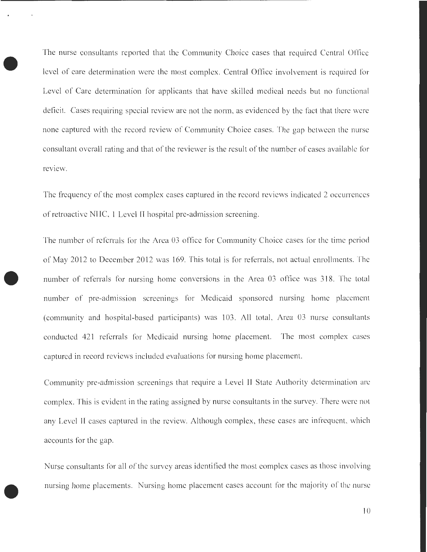The nurse consultants reported that the Community Choice cases that required Central Office level of care determination were the most complex. Central Office involvement is required for Level of Care determination for applicants that have skilled medical needs but no functional deficit. Cases requiring special review are not the norm, as evidenced by the fact that there were none captured with the record review of Community Choice cases. The gap between the nurse consultant overall rating and that of the reviewer is the result of the number of cases available for review.

•

•

The frequency of the most complex cases captured in the record reviews indicated 2 occurrences of retroactive NHC, 1 Level II hospital pre-admission screening.

The number of referrals for the Area 03 office for Community Choice cases for the time period of May 2012 to December 2012 was 169. This total is for referrals, not actual enrollments. The • number of referrals for nursing home conversions in the Area 03 office was 318. The total number of pre-admission screenings for Medicaid sponsored nursing home placement (community and hospital-based participants) was 103. All total, Area 03 nurse consultants conducted 421 referrals for Medicaid nursing home placement. The most complex cases captured in record reviews included evaluations for nursing home placement.

Community pre-admission screenings that require a Level II State Authority determination are complex. This is evident in the rating assigned by nurse consultants in the survey. There were not any Level II cases captured in the review. Although complex, these cases are infrequent, which accounts for the gap.

Nurse consultants for all of the survey areas identified the most complex cases as those involving nursing home placements. Nursing home placement cases account for the majority of the nurse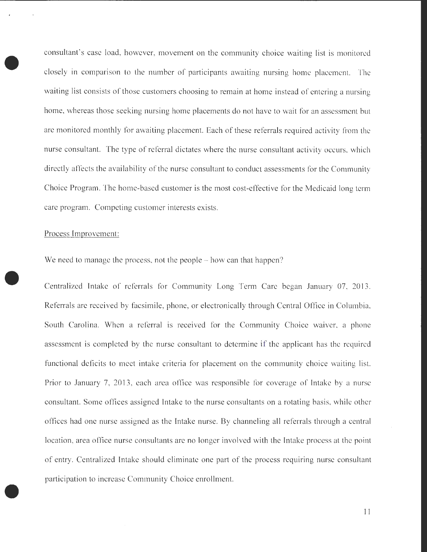consultant's case load, however, movement on the community choice waiting list is monitored closely in comparison to the number of participants awaiting nursing home placement. The waiting list consists of those customers choosing to remain at home instead of entering a nursing home, whereas those seeking nursing home placements do not have to wait for an assessment but are monitored monthly for awaiting placement. Each of these referrals required activity from the nurse consultant. The type of referral dictates where the nurse consultant activity occurs, which directly affects the availability of the nurse consultant to conduct assessments for the Community Choice Program. The home-based customer is the most cost-effective for the Medicaid long term care program. Competing customer interests exists.

## Process Improvement:

•

•

•

We need to manage the process, not the people – how can that happen?

Centralized Intake of referrals for Community Long Term Care began January 07, 2013. Referrals are received by facsimile, phone, or electronically through Central Office in Columbia, South Carolina. When a referral is received for the Community Choice waiver, a phone assessment is completed by the nurse consultant to determine if the applicant has the required functional deficits to meet intake criteria for placement on the community choice waiting list. Prior to January 7, 2013 , each area office was responsible for coverage of Intake by a nurse consultant. Some offices assigned Intake to the nurse consultants on a rotating basis, while other offices had one nurse assigned as the Intake nurse. By channeling all referrals through a central location, area office nurse consultants are no longer involved with the Intake process at the point of entry. Centralized Intake should eliminate one part of the process requiring nurse consultant participation to increase Community Choice enrollment.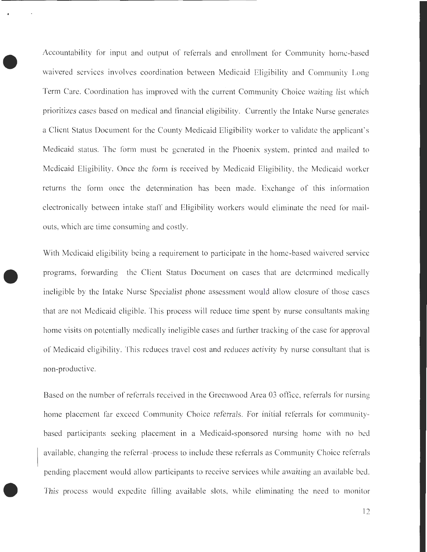Accountability for input and output of referrals and enrollment for Community home-based waivered services involves coordination between Medicaid Eligibility and Community Long Term Care. Coordination has improved with the current Community Choice waiting list which prioritizes cases based on medical and financial eligibility. Currently the Intake Nurse generates a Client Status Document for the County Medicaid Eligibility worker to validate the applicant's Medicaid status. The form must be generated in the Phoenix system, printed and mailed to Medicaid Eligibility. Once the form is received by Medicaid Eligibility, the Medicaid worker returns the form once the determination has been made. Exchange of this information electronically between intake staff and Eligibility workers would eliminate the need for mailouts, which are time consuming and costly.

•

•

With Medicaid eligibility being a requirement to participate in the home-based waivered service programs, forwarding the Client Status Document on cases that are determined medically ineligible by the Intake Nurse Specialist phone assessment would allow closure of those cases that are not Medicaid eligible. This process will reduce time spent by nurse consultants making home visits on potentially medically ineligible cases and further tracking of the case for approval of Medicaid eligibility. This reduces travel cost and reduces activity by nurse consultant that is non-productive.

Based on the number of referrals received in the Greenwood Area 03 office, referrals for nursing home placement far exceed Community Choice referrals. For initial referrals for communitybased participants seeking placement in a Medicaid-sponsored nursing home with no bed available, changing the referral -process to include these referrals as Community Choice referrals pending placement would allow participants to receive services while awaiting an available bed. This process would expedite filling available slots, while eliminating the need to monitor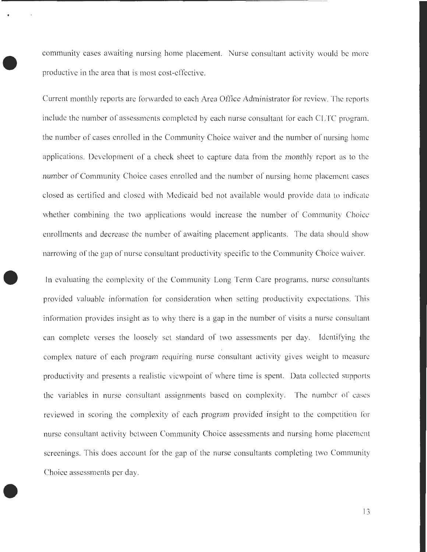• community cases awaiting nursing home placement. Nurse consultant activity would be more productive in the area that is most cost-effective.

Current monthly reports are forwarded to each Area Office Administrator for review. The reports include the number of assessments completed by each nurse consultant for each CLTC program, the number of cases enrolled in the Community Choice waiver and the number of nursing home applications. Development of a check sheet to capture data from the monthly report as to the number of Community Choice cases enrolled and the number of nursing home placement cases closed as certified and closed with Medicaid bed not available would provide data to indicate whether combining the two applications would increase the number of Community Choice enrollments and decrease the number of awaiting placement applicants. The data should show narrowing of the gap of nurse consultant productivity specific to the Community Choice waiver.

In evaluating the complexity of the Community Long Term Care programs, nurse consultants provided valuable information for consideration when setting productivity expectations. This information provides insight as to why there is a gap in the number of visits a nurse consultant can complete verses the loosely set standard of two assessments per day. Identifying the complex nature of each program requiring nurse consultant activity gives weight to measure productivity and presents a realistic viewpoint of where time is spent. Data collected supports the variables in nurse consultant assignments based on complexity. The number of cases reviewed in scoring the complexity of each program provided insight to the competition for nurse consultant activity between Community Choice assessments and nursing home placement screenings. This does account for the gap of the nurse consultants completing two Community Choice assessments per day.

•